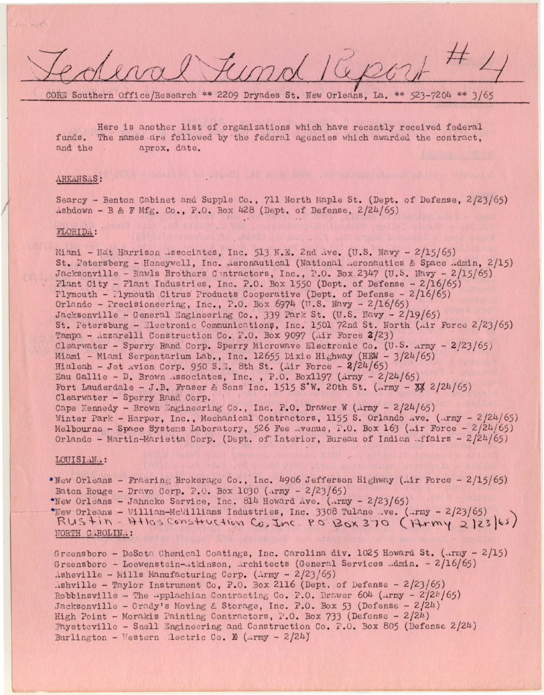CORE Southern Office/Research \*\* 2209 Dryades St. New Orleans, La. \*\* 523-7204 \*\* 3/65

Here is another list of organizations which have recently received federal funds. The names are followed by the federal agencies which awarded the contract. and the aprox. date.

### ARKANSAS:

Searcy - Benton Cabinet and Supple Co., 711 North Maple St. (Dept. of Defense, 2/23/65) Ashdown - B & F Mfg. Co., P.O. Box 428 (Dept. of Defense, 2/24/65)

# FLORIDA:

Miami - Nat Harrison Associates, Inc. 513 N.E. 2nd Ave. (U.S. Navy -  $2/15/65$ ) St. Petersberg - Honeywell, Inc. Aeronautical (National Aeronautics & Space Admin, 2/15) Jacksonville - Rawls Brothers Contractors, Inc., P.O. Box 2347 (U.S. Navy - 2/15/65) Plant City - Plant Industries, Inc. P.O. Box 1550 (Dept. of Defense -  $2/16/65$ ) Plymouth - Plymouth Citrus Products Cooperative (Dept. of Defense -  $2/16/65$ ) Orlando - Precisioneering, Inc., P.O. Box 6974 (U.S. Navy -  $2/16/65$ ) Jacksonville - General Engineering Co., 339 Park St. (U.S. Navy - 2/19/65) St. Petersburg - Electronic Communications, Inc. 1501 72nd St. North (Air Force 2/23/65) Tampa - Azzarelli Construction Co. P.O. Box 9097 (Air Force 2/23) Clearwater - Sperry Rand Corp. Sperry Microwave Electronic Co. (U.S. Army - 2/23/65) Miami - Miami Serpentarium Lab., Inc. 12655 Dixie Highway (HEW - 3/24/65) Hialeah - Jet Avion Corp. 950 S.E. 8th St. (Air Force -  $2/24/65$ ) Eau Gallie - D. Brown Associates, Inc., P.O. Box1197 (Army -  $2/24/65$ ) Fort Lauderdale - J.B. Fraser & Sons Inc. 1515 S'W. 20th St. (..rmy - 34 2/24/65) Clearwater - Sperry Rand Corp. Cape Kennedy - Brown Engineering Co., Inc. P.O. Drawer W (Army - 2/24/65) Winter Park - Harper, Inc., Mechanical Contractors, 1155 S. Orlando Ave. (Army -  $2/24/65$ ) Melbourne - Space Systems Laboratory, 526 Fee .. venue, P.O. Box 163 (.ir Force -  $2/24/65$ ) Orlando - Martin-Marietta Corp. (Dept. of Interior, Bureau of Indian ...ffairs -  $2/24/65$ )

## LOUISIAN..:

. New Orleans - Fraering Brokerage Co., Inc. 4906 Jefferson Highway (Air Force - 2/15/65) Baton Rouge - Dravo Corp. P.O. Box 1030 (Army -  $2/23/65$ )

\*New Orleans - Jahncke Service, Inc. 814 Howard Ave. (Army -  $2/23/65$ )

"New Orleans - William-McWilliams Industries, Inc. 3308 Tulane .. ve. (.. rmy - 2/23/65) RUStin-Atlas Construction Co, Inc. PO BOX 370 (Army 2/23/65) NORTH CAROLINA:

Greensboro - DeSota Chemical Coatings, Inc. Carolina div. 1025 Howard St. (..rmy - 2/15) Greensboro - Loewenstein-atkinson, Architects (General Services Admin. - 2/16/65) Asheville - Mills Manufacturing Corp. (Army -  $2/23/65$ ) Ashville - Taylor Instrument Co, P.O. Box 2116 (Dept. of Defense - 2/23/65) Robbinsville - The -pplachian Contracting Co. P.O. Drawer  $604$  (Army -  $2/24/65$ ) Jacksonville - Grady's Moving & Storage, Inc. P.O. Box 53 (Defense - 2/24) High Point - Morakis Painting Contractors, P.O. Box 733 (Defense -  $2/24$ ) Fayetteville - Snell Engineering and Construction Co. P.O. Box 805 (Defense 2/24) Burlington - Mestern Lectric Co. E (Army - 2/24)